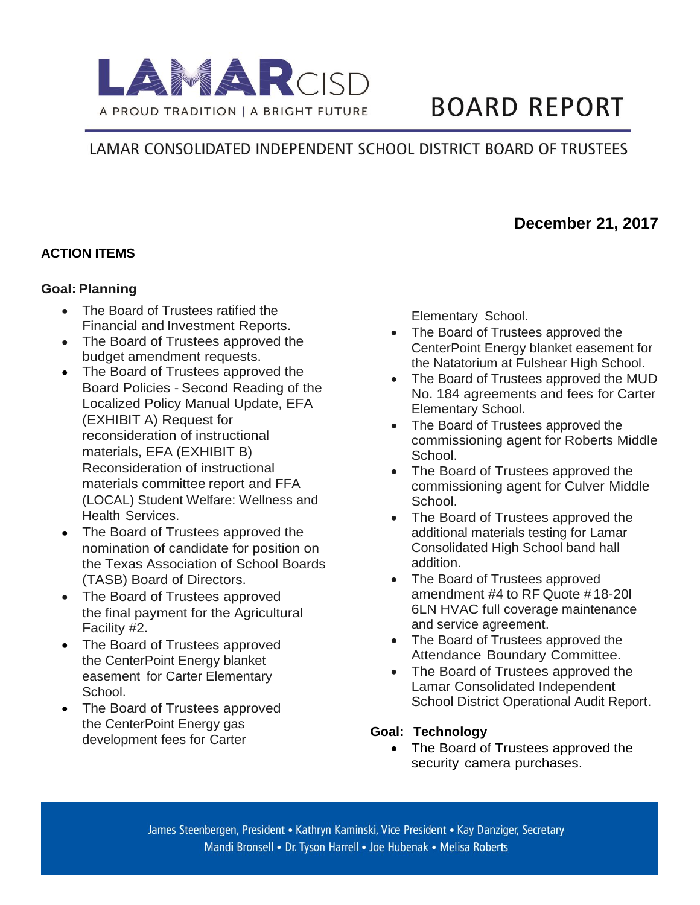

# **BOARD REPORT**

## LAMAR CONSOLIDATED INDEPENDENT SCHOOL DISTRICT BOARD OF TRUSTEES

### **December 21, 2017**

#### **ACTION ITEMS**

#### **Goal: Planning**

- The Board of Trustees ratified the Financial and Investment Reports.
- The Board of Trustees approved the budget amendment requests.
- The Board of Trustees approved the Board Policies - Second Reading of the Localized Policy Manual Update, EFA (EXHIBIT A) Request for reconsideration of instructional materials, EFA (EXHIBIT B) Reconsideration of instructional materials committee report and FFA (LOCAL) Student Welfare: Wellness and Health Services.
- The Board of Trustees approved the nomination of candidate for position on the Texas Association of School Boards (TASB) Board of Directors.
- The Board of Trustees approved the final payment for the Agricultural Facility #2.
- The Board of Trustees approved the CenterPoint Energy blanket easement for Carter Elementary School.
- The Board of Trustees approved the CenterPoint Energy gas development fees for Carter

Elementary School.

- The Board of Trustees approved the CenterPoint Energy blanket easement for the Natatorium at Fulshear High School.
- The Board of Trustees approved the MUD No. 184 agreements and fees for Carter Elementary School.
- The Board of Trustees approved the commissioning agent for Roberts Middle School.
- The Board of Trustees approved the commissioning agent for Culver Middle School.
- The Board of Trustees approved the additional materials testing for Lamar Consolidated High School band hall addition.
- The Board of Trustees approved amendment #4 to RF Quote # 18-20l 6LN HVAC full coverage maintenance and service agreement.
- The Board of Trustees approved the Attendance Boundary Committee.
- The Board of Trustees approved the Lamar Consolidated Independent School District Operational Audit Report.

#### **Goal: Technology**

• The Board of Trustees approved the security camera purchases.